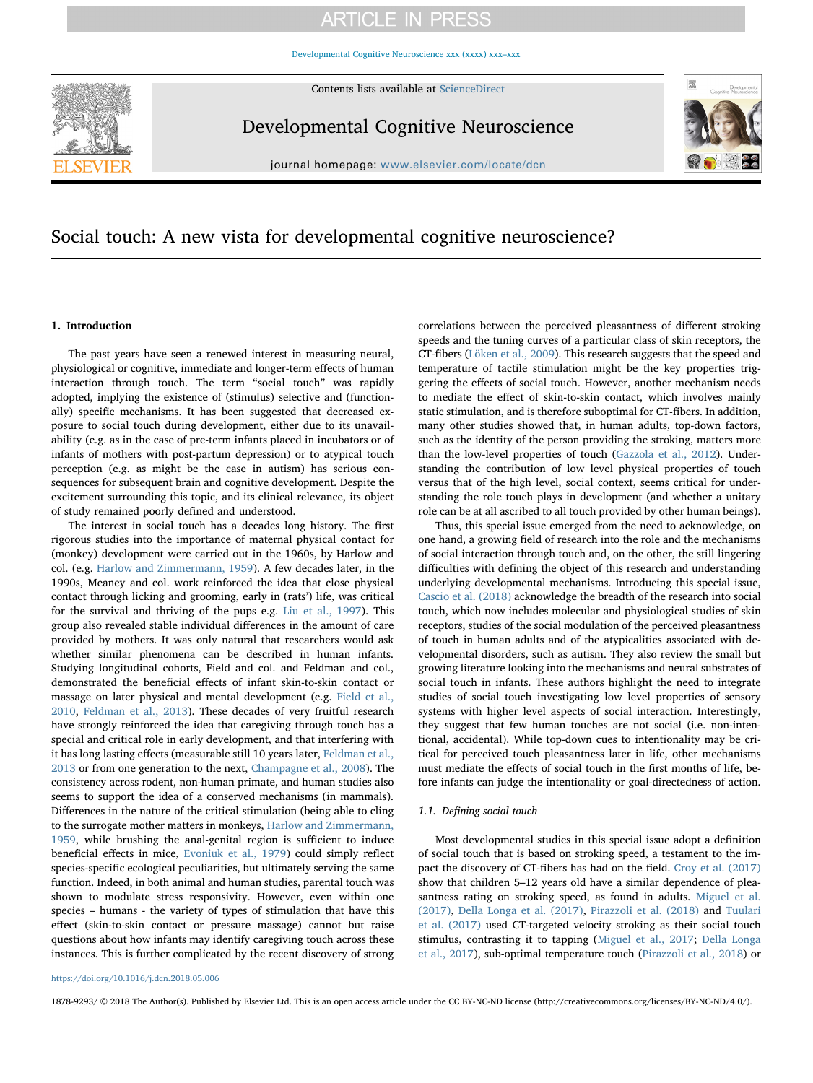# **ARTICLE IN PRESS**

[Developmental Cognitive Neuroscience xxx \(xxxx\) xxx–xxx](https://doi.org/10.1016/j.dcn.2018.05.006)

Contents lists available at [ScienceDirect](http://www.sciencedirect.com/science/journal/18789293)



Developmental Cognitive Neuroscience



journal homepage: [www.elsevier.com/locate/dcn](https://www.elsevier.com/locate/dcn)

# Social touch: A new vista for developmental cognitive neuroscience?

# 1. Introduction

The past years have seen a renewed interest in measuring neural, physiological or cognitive, immediate and longer-term effects of human interaction through touch. The term "social touch" was rapidly adopted, implying the existence of (stimulus) selective and (functionally) specific mechanisms. It has been suggested that decreased exposure to social touch during development, either due to its unavailability (e.g. as in the case of pre-term infants placed in incubators or of infants of mothers with post-partum depression) or to atypical touch perception (e.g. as might be the case in autism) has serious consequences for subsequent brain and cognitive development. Despite the excitement surrounding this topic, and its clinical relevance, its object of study remained poorly defined and understood.

The interest in social touch has a decades long history. The first rigorous studies into the importance of maternal physical contact for (monkey) development were carried out in the 1960s, by Harlow and col. (e.g. [Harlow and Zimmermann, 1959](#page-3-0)). A few decades later, in the 1990s, Meaney and col. work reinforced the idea that close physical contact through licking and grooming, early in (rats') life, was critical for the survival and thriving of the pups e.g. [Liu et al., 1997\)](#page-3-1). This group also revealed stable individual differences in the amount of care provided by mothers. It was only natural that researchers would ask whether similar phenomena can be described in human infants. Studying longitudinal cohorts, Field and col. and Feldman and col., demonstrated the beneficial effects of infant skin-to-skin contact or massage on later physical and mental development (e.g. [Field et al.,](#page-3-2) [2010,](#page-3-2) [Feldman et al., 2013\)](#page-3-3). These decades of very fruitful research have strongly reinforced the idea that caregiving through touch has a special and critical role in early development, and that interfering with it has long lasting effects (measurable still 10 years later, [Feldman et al.,](#page-3-3) [2013](#page-3-3) or from one generation to the next, [Champagne et al., 2008\)](#page-3-4). The consistency across rodent, non-human primate, and human studies also seems to support the idea of a conserved mechanisms (in mammals). Differences in the nature of the critical stimulation (being able to cling to the surrogate mother matters in monkeys, [Harlow and Zimmermann,](#page-3-0) [1959,](#page-3-0) while brushing the anal-genital region is sufficient to induce beneficial effects in mice, [Evoniuk et al., 1979\)](#page-3-5) could simply reflect species-specific ecological peculiarities, but ultimately serving the same function. Indeed, in both animal and human studies, parental touch was shown to modulate stress responsivity. However, even within one species – humans - the variety of types of stimulation that have this effect (skin-to-skin contact or pressure massage) cannot but raise questions about how infants may identify caregiving touch across these instances. This is further complicated by the recent discovery of strong correlations between the perceived pleasantness of different stroking speeds and the tuning curves of a particular class of skin receptors, the CT-fibers ([Löken et al., 2009](#page-3-6)). This research suggests that the speed and temperature of tactile stimulation might be the key properties triggering the effects of social touch. However, another mechanism needs to mediate the effect of skin-to-skin contact, which involves mainly static stimulation, and is therefore suboptimal for CT-fibers. In addition, many other studies showed that, in human adults, top-down factors, such as the identity of the person providing the stroking, matters more than the low-level properties of touch ([Gazzola et al., 2012\)](#page-3-7). Understanding the contribution of low level physical properties of touch versus that of the high level, social context, seems critical for understanding the role touch plays in development (and whether a unitary role can be at all ascribed to all touch provided by other human beings).

Thus, this special issue emerged from the need to acknowledge, on one hand, a growing field of research into the role and the mechanisms of social interaction through touch and, on the other, the still lingering difficulties with defining the object of this research and understanding underlying developmental mechanisms. Introducing this special issue, [Cascio et al. \(2018\)](#page-3-8) acknowledge the breadth of the research into social touch, which now includes molecular and physiological studies of skin receptors, studies of the social modulation of the perceived pleasantness of touch in human adults and of the atypicalities associated with developmental disorders, such as autism. They also review the small but growing literature looking into the mechanisms and neural substrates of social touch in infants. These authors highlight the need to integrate studies of social touch investigating low level properties of sensory systems with higher level aspects of social interaction. Interestingly, they suggest that few human touches are not social (i.e. non-intentional, accidental). While top-down cues to intentionality may be critical for perceived touch pleasantness later in life, other mechanisms must mediate the effects of social touch in the first months of life, before infants can judge the intentionality or goal-directedness of action.

## 1.1. Defining social touch

Most developmental studies in this special issue adopt a definition of social touch that is based on stroking speed, a testament to the impact the discovery of CT-fibers has had on the field. [Croy et al. \(2017\)](#page-3-9) show that children 5–12 years old have a similar dependence of pleasantness rating on stroking speed, as found in adults. [Miguel et al.](#page-3-10) [\(2017\),](#page-3-10) [Della Longa et al. \(2017\),](#page-3-11) [Pirazzoli et al. \(2018\)](#page-3-12) and [Tuulari](#page-3-13) [et al. \(2017\)](#page-3-13) used CT-targeted velocity stroking as their social touch stimulus, contrasting it to tapping ([Miguel et al., 2017;](#page-3-10) [Della Longa](#page-3-11) [et al., 2017](#page-3-11)), sub-optimal temperature touch ([Pirazzoli et al., 2018\)](#page-3-12) or

## <https://doi.org/10.1016/j.dcn.2018.05.006>

1878-9293/ © 2018 The Author(s). Published by Elsevier Ltd. This is an open access article under the CC BY-NC-ND license (http://creativecommons.org/licenses/BY-NC-ND/4.0/).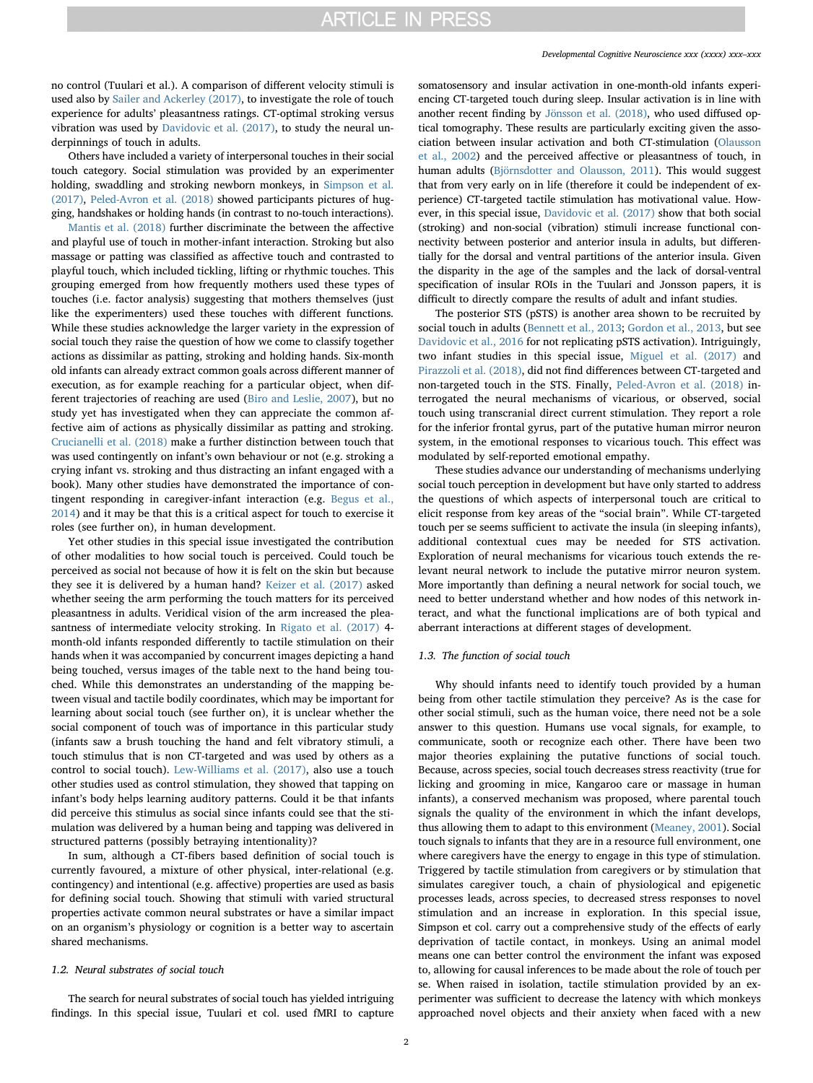no control (Tuulari et al.). A comparison of different velocity stimuli is used also by [Sailer and Ackerley \(2017\),](#page-3-14) to investigate the role of touch experience for adults' pleasantness ratings. CT-optimal stroking versus vibration was used by [Davidovic et al. \(2017\)](#page-3-15), to study the neural underpinnings of touch in adults.

Others have included a variety of interpersonal touches in their social touch category. Social stimulation was provided by an experimenter holding, swaddling and stroking newborn monkeys, in [Simpson et al.](#page-3-16) [\(2017\)](#page-3-16), [Peled-Avron et al. \(2018\)](#page-3-17) showed participants pictures of hugging, handshakes or holding hands (in contrast to no-touch interactions).

[Mantis et al. \(2018\)](#page-3-18) further discriminate the between the affective and playful use of touch in mother-infant interaction. Stroking but also massage or patting was classified as affective touch and contrasted to playful touch, which included tickling, lifting or rhythmic touches. This grouping emerged from how frequently mothers used these types of touches (i.e. factor analysis) suggesting that mothers themselves (just like the experimenters) used these touches with different functions. While these studies acknowledge the larger variety in the expression of social touch they raise the question of how we come to classify together actions as dissimilar as patting, stroking and holding hands. Six-month old infants can already extract common goals across different manner of execution, as for example reaching for a particular object, when different trajectories of reaching are used ([Biro and Leslie, 2007\)](#page-3-19), but no study yet has investigated when they can appreciate the common affective aim of actions as physically dissimilar as patting and stroking. [Crucianelli et al. \(2018\)](#page-3-20) make a further distinction between touch that was used contingently on infant's own behaviour or not (e.g. stroking a crying infant vs. stroking and thus distracting an infant engaged with a book). Many other studies have demonstrated the importance of contingent responding in caregiver-infant interaction (e.g. [Begus et al.,](#page-3-21) [2014\)](#page-3-21) and it may be that this is a critical aspect for touch to exercise it roles (see further on), in human development.

Yet other studies in this special issue investigated the contribution of other modalities to how social touch is perceived. Could touch be perceived as social not because of how it is felt on the skin but because they see it is delivered by a human hand? [Keizer et al. \(2017\)](#page-3-22) asked whether seeing the arm performing the touch matters for its perceived pleasantness in adults. Veridical vision of the arm increased the pleasantness of intermediate velocity stroking. In [Rigato et al. \(2017\)](#page-3-23) 4 month-old infants responded differently to tactile stimulation on their hands when it was accompanied by concurrent images depicting a hand being touched, versus images of the table next to the hand being touched. While this demonstrates an understanding of the mapping between visual and tactile bodily coordinates, which may be important for learning about social touch (see further on), it is unclear whether the social component of touch was of importance in this particular study (infants saw a brush touching the hand and felt vibratory stimuli, a touch stimulus that is non CT-targeted and was used by others as a control to social touch). [Lew-Williams et al. \(2017\)](#page-3-24), also use a touch other studies used as control stimulation, they showed that tapping on infant's body helps learning auditory patterns. Could it be that infants did perceive this stimulus as social since infants could see that the stimulation was delivered by a human being and tapping was delivered in structured patterns (possibly betraying intentionality)?

In sum, although a CT-fibers based definition of social touch is currently favoured, a mixture of other physical, inter-relational (e.g. contingency) and intentional (e.g. affective) properties are used as basis for defining social touch. Showing that stimuli with varied structural properties activate common neural substrates or have a similar impact on an organism's physiology or cognition is a better way to ascertain shared mechanisms.

### 1.2. Neural substrates of social touch

The search for neural substrates of social touch has yielded intriguing findings. In this special issue, Tuulari et col. used fMRI to capture somatosensory and insular activation in one-month-old infants experiencing CT-targeted touch during sleep. Insular activation is in line with another recent finding by [Jönsson et al. \(2018\)](#page-3-25), who used diffused optical tomography. These results are particularly exciting given the association between insular activation and both CT-stimulation [\(Olausson](#page-3-26) [et al., 2002\)](#page-3-26) and the perceived affective or pleasantness of touch, in human adults [\(Björnsdotter and Olausson, 2011\)](#page-3-27). This would suggest that from very early on in life (therefore it could be independent of experience) CT-targeted tactile stimulation has motivational value. However, in this special issue, [Davidovic et al. \(2017\)](#page-3-15) show that both social (stroking) and non-social (vibration) stimuli increase functional connectivity between posterior and anterior insula in adults, but differentially for the dorsal and ventral partitions of the anterior insula. Given the disparity in the age of the samples and the lack of dorsal-ventral specification of insular ROIs in the Tuulari and Jonsson papers, it is difficult to directly compare the results of adult and infant studies.

The posterior STS (pSTS) is another area shown to be recruited by social touch in adults ([Bennett et al., 2013;](#page-3-28) [Gordon et al., 2013](#page-3-29), but see [Davidovic et al., 2016](#page-3-30) for not replicating pSTS activation). Intriguingly, two infant studies in this special issue, [Miguel et al. \(2017\)](#page-3-10) and [Pirazzoli et al. \(2018\)](#page-3-12), did not find differences between CT-targeted and non-targeted touch in the STS. Finally, [Peled-Avron et al. \(2018\)](#page-3-17) interrogated the neural mechanisms of vicarious, or observed, social touch using transcranial direct current stimulation. They report a role for the inferior frontal gyrus, part of the putative human mirror neuron system, in the emotional responses to vicarious touch. This effect was modulated by self-reported emotional empathy.

These studies advance our understanding of mechanisms underlying social touch perception in development but have only started to address the questions of which aspects of interpersonal touch are critical to elicit response from key areas of the "social brain". While CT-targeted touch per se seems sufficient to activate the insula (in sleeping infants), additional contextual cues may be needed for STS activation. Exploration of neural mechanisms for vicarious touch extends the relevant neural network to include the putative mirror neuron system. More importantly than defining a neural network for social touch, we need to better understand whether and how nodes of this network interact, and what the functional implications are of both typical and aberrant interactions at different stages of development.

## 1.3. The function of social touch

Why should infants need to identify touch provided by a human being from other tactile stimulation they perceive? As is the case for other social stimuli, such as the human voice, there need not be a sole answer to this question. Humans use vocal signals, for example, to communicate, sooth or recognize each other. There have been two major theories explaining the putative functions of social touch. Because, across species, social touch decreases stress reactivity (true for licking and grooming in mice, Kangaroo care or massage in human infants), a conserved mechanism was proposed, where parental touch signals the quality of the environment in which the infant develops, thus allowing them to adapt to this environment ([Meaney, 2001\)](#page-3-31). Social touch signals to infants that they are in a resource full environment, one where caregivers have the energy to engage in this type of stimulation. Triggered by tactile stimulation from caregivers or by stimulation that simulates caregiver touch, a chain of physiological and epigenetic processes leads, across species, to decreased stress responses to novel stimulation and an increase in exploration. In this special issue, Simpson et col. carry out a comprehensive study of the effects of early deprivation of tactile contact, in monkeys. Using an animal model means one can better control the environment the infant was exposed to, allowing for causal inferences to be made about the role of touch per se. When raised in isolation, tactile stimulation provided by an experimenter was sufficient to decrease the latency with which monkeys approached novel objects and their anxiety when faced with a new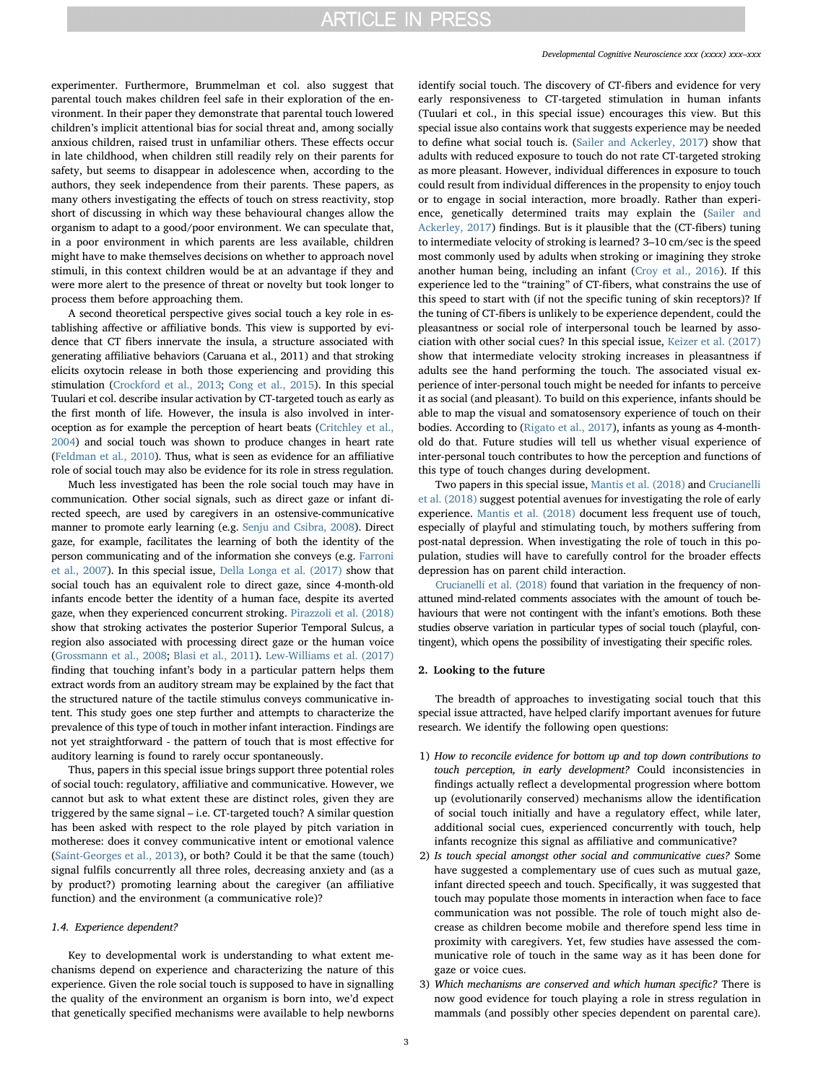experimenter. Furthermore, Brummelman et col. also suggest that parental touch makes children feel safe in their exploration of the environment. In their paper they demonstrate that parental touch lowered children's implicit attentional bias for social threat and, among socially anxious children, raised trust in unfamiliar others. These effects occur in late childhood, when children still readily rely on their parents for safety, but seems to disappear in adolescence when, according to the authors, they seek independence from their parents. These papers, as many others investigating the effects of touch on stress reactivity, stop short of discussing in which way these behavioural changes allow the organism to adapt to a good/poor environment. We can speculate that, in a poor environment in which parents are less available, children might have to make themselves decisions on whether to approach novel stimuli, in this context children would be at an advantage if they and were more alert to the presence of threat or novelty but took longer to process them before approaching them.

A second theoretical perspective gives social touch a key role in establishing affective or affiliative bonds. This view is supported by evidence that CT fibers innervate the insula, a structure associated with generating affiliative behaviors (Caruana et al., 2011) and that stroking elicits oxytocin release in both those experiencing and providing this stimulation [\(Crockford et al., 2013](#page-3-32); [Cong et al., 2015](#page-3-33)). In this special Tuulari et col. describe insular activation by CT-targeted touch as early as the first month of life. However, the insula is also involved in interoception as for example the perception of heart beats [\(Critchley et al.,](#page-3-34) [2004](#page-3-34)) and social touch was shown to produce changes in heart rate ([Feldman et al., 2010](#page-3-35)). Thus, what is seen as evidence for an affiliative role of social touch may also be evidence for its role in stress regulation.

Much less investigated has been the role social touch may have in communication. Other social signals, such as direct gaze or infant directed speech, are used by caregivers in an ostensive-communicative manner to promote early learning (e.g. [Senju and Csibra, 2008\)](#page-3-36). Direct gaze, for example, facilitates the learning of both the identity of the person communicating and of the information she conveys (e.g. [Farroni](#page-3-37) [et al., 2007](#page-3-37)). In this special issue, [Della Longa et al. \(2017\)](#page-3-11) show that social touch has an equivalent role to direct gaze, since 4-month-old infants encode better the identity of a human face, despite its averted gaze, when they experienced concurrent stroking. [Pirazzoli et al. \(2018\)](#page-3-12) show that stroking activates the posterior Superior Temporal Sulcus, a region also associated with processing direct gaze or the human voice ([Grossmann et al., 2008](#page-3-38); [Blasi et al., 2011\)](#page-3-39). [Lew-Williams et al. \(2017\)](#page-3-24) finding that touching infant's body in a particular pattern helps them extract words from an auditory stream may be explained by the fact that the structured nature of the tactile stimulus conveys communicative intent. This study goes one step further and attempts to characterize the prevalence of this type of touch in mother infant interaction. Findings are not yet straightforward - the pattern of touch that is most effective for auditory learning is found to rarely occur spontaneously.

Thus, papers in this special issue brings support three potential roles of social touch: regulatory, affiliative and communicative. However, we cannot but ask to what extent these are distinct roles, given they are triggered by the same signal – i.e. CT-targeted touch? A similar question has been asked with respect to the role played by pitch variation in motherese: does it convey communicative intent or emotional valence ([Saint-Georges et al., 2013\)](#page-3-40), or both? Could it be that the same (touch) signal fulfils concurrently all three roles, decreasing anxiety and (as a by product?) promoting learning about the caregiver (an affiliative function) and the environment (a communicative role)?

## 1.4. Experience dependent?

Key to developmental work is understanding to what extent mechanisms depend on experience and characterizing the nature of this experience. Given the role social touch is supposed to have in signalling the quality of the environment an organism is born into, we'd expect that genetically specified mechanisms were available to help newborns

## *Developmental Cognitive Neuroscience xxx (xxxx) xxx–xxx*

identify social touch. The discovery of CT-fibers and evidence for very early responsiveness to CT-targeted stimulation in human infants (Tuulari et col., in this special issue) encourages this view. But this special issue also contains work that suggests experience may be needed to define what social touch is. ([Sailer and Ackerley, 2017](#page-3-14)) show that adults with reduced exposure to touch do not rate CT-targeted stroking as more pleasant. However, individual differences in exposure to touch could result from individual differences in the propensity to enjoy touch or to engage in social interaction, more broadly. Rather than experience, genetically determined traits may explain the ([Sailer and](#page-3-14) [Ackerley, 2017](#page-3-14)) findings. But is it plausible that the (CT-fibers) tuning to intermediate velocity of stroking is learned? 3–10 cm/sec is the speed most commonly used by adults when stroking or imagining they stroke another human being, including an infant ([Croy et al., 2016\)](#page-3-41). If this experience led to the "training" of CT-fibers, what constrains the use of this speed to start with (if not the specific tuning of skin receptors)? If the tuning of CT-fibers is unlikely to be experience dependent, could the pleasantness or social role of interpersonal touch be learned by association with other social cues? In this special issue, [Keizer et al. \(2017\)](#page-3-22) show that intermediate velocity stroking increases in pleasantness if adults see the hand performing the touch. The associated visual experience of inter-personal touch might be needed for infants to perceive it as social (and pleasant). To build on this experience, infants should be able to map the visual and somatosensory experience of touch on their bodies. According to ([Rigato et al., 2017\)](#page-3-23), infants as young as 4-monthold do that. Future studies will tell us whether visual experience of inter-personal touch contributes to how the perception and functions of this type of touch changes during development.

Two papers in this special issue, [Mantis et al. \(2018\)](#page-3-18) and [Crucianelli](#page-3-20) [et al. \(2018\)](#page-3-20) suggest potential avenues for investigating the role of early experience. [Mantis et al. \(2018\)](#page-3-18) document less frequent use of touch, especially of playful and stimulating touch, by mothers suffering from post-natal depression. When investigating the role of touch in this population, studies will have to carefully control for the broader effects depression has on parent child interaction.

[Crucianelli et al. \(2018\)](#page-3-20) found that variation in the frequency of nonattuned mind-related comments associates with the amount of touch behaviours that were not contingent with the infant's emotions. Both these studies observe variation in particular types of social touch (playful, contingent), which opens the possibility of investigating their specific roles.

## 2. Looking to the future

The breadth of approaches to investigating social touch that this special issue attracted, have helped clarify important avenues for future research. We identify the following open questions:

- 1) How to reconcile evidence for bottom up and top down contributions to touch perception, in early development? Could inconsistencies in findings actually reflect a developmental progression where bottom up (evolutionarily conserved) mechanisms allow the identification of social touch initially and have a regulatory effect, while later, additional social cues, experienced concurrently with touch, help infants recognize this signal as affiliative and communicative?
- 2) Is touch special amongst other social and communicative cues? Some have suggested a complementary use of cues such as mutual gaze, infant directed speech and touch. Specifically, it was suggested that touch may populate those moments in interaction when face to face communication was not possible. The role of touch might also decrease as children become mobile and therefore spend less time in proximity with caregivers. Yet, few studies have assessed the communicative role of touch in the same way as it has been done for gaze or voice cues.
- 3) Which mechanisms are conserved and which human specific? There is now good evidence for touch playing a role in stress regulation in mammals (and possibly other species dependent on parental care).